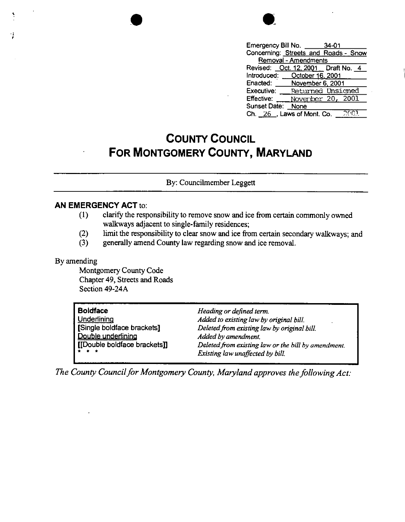|                      | Emergency Bill No. 34-01             |  |  |  |
|----------------------|--------------------------------------|--|--|--|
|                      | Concerning: Streets and Roads - Snow |  |  |  |
| Removal - Amendments |                                      |  |  |  |
|                      | Revised: Oct. 12, 2001 Draft No. 4   |  |  |  |
|                      | Introduced: October 16, 2001         |  |  |  |
|                      | Enacted: November 6, 2001            |  |  |  |
| Executive:           | <b>Returned Unsigned</b>             |  |  |  |
| <b>Effective:</b>    | November 20, 2001                    |  |  |  |
| Sunset Date: None    |                                      |  |  |  |
|                      | Ch. $26$ , Laws of Mont. Co.<br>ה הי |  |  |  |

## **COUNTY COUNCIL FOR MONTGOMERY COUNTY, MARYLAND**

By: Councilrnember Leggett

## **AN EMERGENCY ACT** to:

- ( 1) clarify the responsibility to remove snow and ice from certain commonly owned walkways adjacent to single-family residences;
- (2) limit the responsibility to clear snow and ice from certain secondary walkways; and
- (3) generally amend County law regarding snow and ice removal.

## By amending

Montgomery County Code Chapter 49, Streets and Roads Section 49-24A

•

| <b>Boldface</b>              | Heading or defined term.                            |
|------------------------------|-----------------------------------------------------|
| Underlining                  | Added to existing law by original bill.             |
| Single boldface brackets]    | Deleted from existing law by original bill.         |
| Double underlining           | Added by amendment.                                 |
| [[Double boldface brackets]] | Deleted from existing law or the bill by amendment. |
| $  +$ $+$                    | Existing law unaffected by bill.                    |

*The County Council for Montgomery County, Maryland approves the following Act:*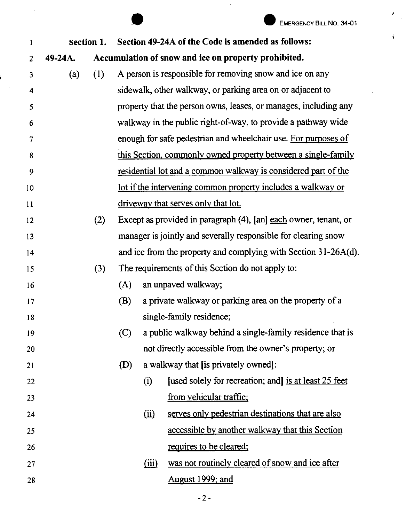'

 $\ddot{\bullet}$ 

|                |            |     |     |                | EMERGENCY BILL NO. 34-01                                              |
|----------------|------------|-----|-----|----------------|-----------------------------------------------------------------------|
| 1              | Section 1. |     |     |                | Section 49-24A of the Code is amended as follows:                     |
| $\overline{2}$ | 49-24A.    |     |     |                | Accumulation of snow and ice on property prohibited.                  |
| 3              | (a)        | (1) |     |                | A person is responsible for removing snow and ice on any              |
| 4              |            |     |     |                | sidewalk, other walkway, or parking area on or adjacent to            |
| 5              |            |     |     |                | property that the person owns, leases, or manages, including any      |
| 6              |            |     |     |                | walkway in the public right-of-way, to provide a pathway wide         |
| 7              |            |     |     |                | enough for safe pedestrian and wheelchair use. For purposes of        |
| 8              |            |     |     |                | this Section, commonly owned property between a single-family         |
| 9              |            |     |     |                | <u>residential lot and a common walkway is considered part of the</u> |
| 10             |            |     |     |                | lot if the intervening common property includes a walkway or          |
| 11             |            |     |     |                | driveway that serves only that lot.                                   |
| 12             |            | (2) |     |                | Except as provided in paragraph (4), [an] each owner, tenant, or      |
| 13             |            |     |     |                | manager is jointly and severally responsible for clearing snow        |
| 14             |            |     |     |                | and ice from the property and complying with Section 31-26A(d).       |
| 15             |            | (3) |     |                | The requirements of this Section do not apply to:                     |
| 16             |            |     | (A) |                | an unpaved walkway;                                                   |
| 17             |            |     | (B) |                | a private walkway or parking area on the property of a                |
| 18             |            |     |     |                | single-family residence;                                              |
| 19             |            |     | (C) |                | a public walkway behind a single-family residence that is             |
| 20             |            |     |     |                | not directly accessible from the owner's property; or                 |
| 21             |            |     | (D) |                | a walkway that [is privately owned]:                                  |
| 22             |            |     |     | (i)            | [used solely for recreation; and] is at least 25 feet                 |
| 23             |            |     |     |                | from vehicular traffic;                                               |
| 24             |            |     |     | $\overline{u}$ | serves only pedestrian destinations that are also                     |
| 25             |            |     |     |                | accessible by another walkway that this Section                       |
| 26             |            |     |     |                | requires to be cleared;                                               |
| 27             |            |     |     | (iii)          | was not routinely cleared of snow and ice after                       |
| 28             |            |     |     |                | August 1999; and                                                      |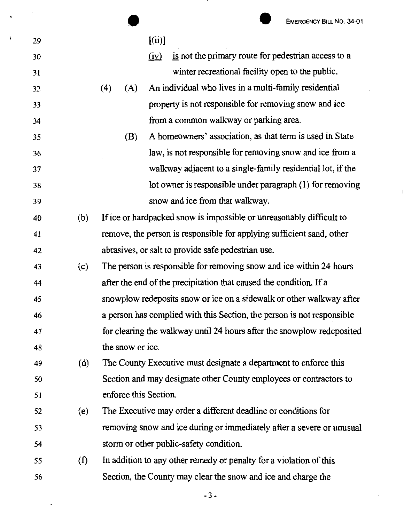|    |     | <b>EMERGENCY BILL NO. 34-01</b>                                        |
|----|-----|------------------------------------------------------------------------|
| 29 |     | [(ii)]                                                                 |
| 30 |     | is not the primary route for pedestrian access to a<br>(iv)            |
| 31 |     | winter recreational facility open to the public.                       |
| 32 |     | An individual who lives in a multi-family residential<br>(4)<br>(A)    |
| 33 |     | property is not responsible for removing snow and ice                  |
| 34 |     | from a common walkway or parking area.                                 |
| 35 |     | A homeowners' association, as that term is used in State<br>(B)        |
| 36 |     | law, is not responsible for removing snow and ice from a               |
| 37 |     | walkway adjacent to a single-family residential lot, if the            |
| 38 |     | lot owner is responsible under paragraph (1) for removing              |
| 39 |     | snow and ice from that walkway.                                        |
| 40 | (b) | If ice or hardpacked snow is impossible or unreasonably difficult to   |
| 41 |     | remove, the person is responsible for applying sufficient sand, other  |
| 42 |     | abrasives, or salt to provide safe pedestrian use.                     |
| 43 | (c) | The person is responsible for removing snow and ice within 24 hours    |
| 44 |     | after the end of the precipitation that caused the condition. If a     |
| 45 |     | snowplow redeposits snow or ice on a sidewalk or other walkway after   |
| 46 |     | a person has complied with this Section, the person is not responsible |
| 47 |     | for clearing the walkway until 24 hours after the snowplow redeposited |
| 48 |     | the snow or ice.                                                       |
| 49 | (d) | The County Executive must designate a department to enforce this       |
| 50 |     | Section and may designate other County employees or contractors to     |
| 51 |     | enforce this Section.                                                  |
| 52 | (e) | The Executive may order a different deadline or conditions for         |
| 53 |     | removing snow and ice during or immediately after a severe or unusual  |
| 54 |     | storm or other public-safety condition.                                |
| 55 | (f) | In addition to any other remedy or penalty for a violation of this     |
| 56 |     | Section, the County may clear the snow and ice and charge the          |

 $\ddot{\phantom{a}}$ 

Ä

 $\pmb{\mathfrak{c}}$